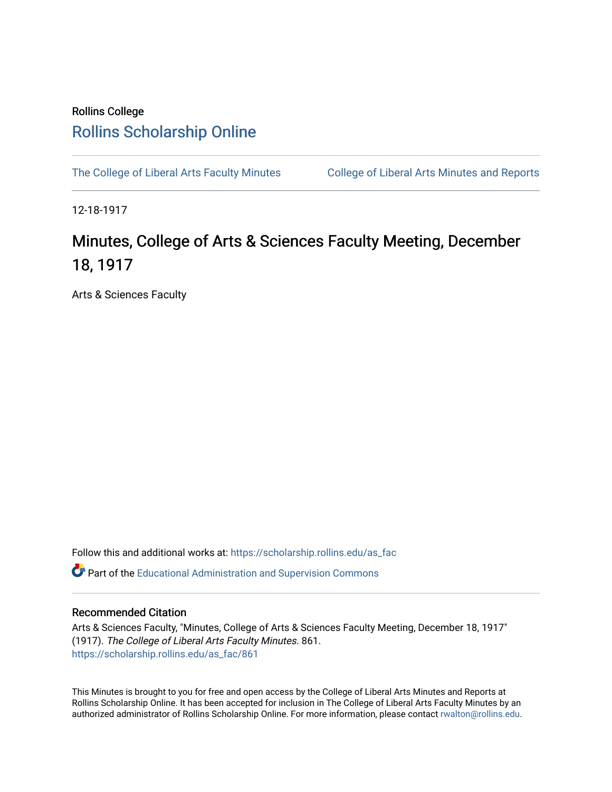## Rollins College [Rollins Scholarship Online](https://scholarship.rollins.edu/)

[The College of Liberal Arts Faculty Minutes](https://scholarship.rollins.edu/as_fac) College of Liberal Arts Minutes and Reports

12-18-1917

## Minutes, College of Arts & Sciences Faculty Meeting, December 18, 1917

Arts & Sciences Faculty

Follow this and additional works at: [https://scholarship.rollins.edu/as\\_fac](https://scholarship.rollins.edu/as_fac?utm_source=scholarship.rollins.edu%2Fas_fac%2F861&utm_medium=PDF&utm_campaign=PDFCoverPages) 

**P** Part of the [Educational Administration and Supervision Commons](http://network.bepress.com/hgg/discipline/787?utm_source=scholarship.rollins.edu%2Fas_fac%2F861&utm_medium=PDF&utm_campaign=PDFCoverPages)

## Recommended Citation

Arts & Sciences Faculty, "Minutes, College of Arts & Sciences Faculty Meeting, December 18, 1917" (1917). The College of Liberal Arts Faculty Minutes. 861. [https://scholarship.rollins.edu/as\\_fac/861](https://scholarship.rollins.edu/as_fac/861?utm_source=scholarship.rollins.edu%2Fas_fac%2F861&utm_medium=PDF&utm_campaign=PDFCoverPages) 

This Minutes is brought to you for free and open access by the College of Liberal Arts Minutes and Reports at Rollins Scholarship Online. It has been accepted for inclusion in The College of Liberal Arts Faculty Minutes by an authorized administrator of Rollins Scholarship Online. For more information, please contact [rwalton@rollins.edu](mailto:rwalton@rollins.edu).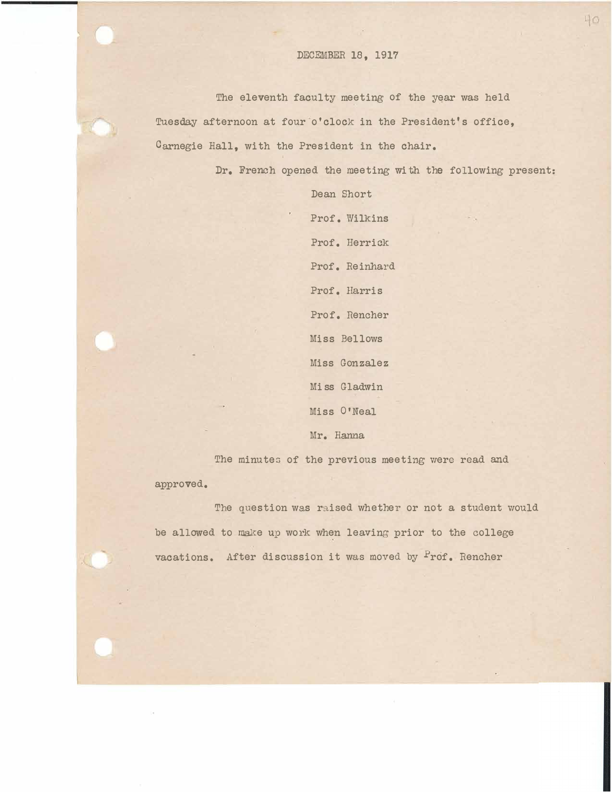## DECEMBER 18, 1917

The eleventh faculty meeting of the year was held Tuesday afternoon at four o'clock in the President's office, Carnegie Hall, with the President in the chair.

Dr. French opened the meeting With the following present:

Dean Short Prof. Wilkins Prof. Herrick Prof. Reinhard Prof. Harris Prof. Rencher Miss Bellows Miss Gonzalez Miss Gladwin Miss 0'Neal Mr. Hanna

The minutes of the previous meeting were read and approved.

The question was raised whether or not a student would be allowed to make up work when leaving prior to the college vacations. After discussion it was moved by Prof. Rencher